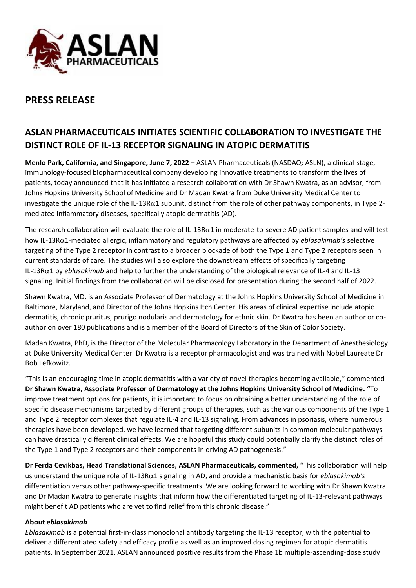

# **PRESS RELEASE**

## **ASLAN PHARMACEUTICALS INITIATES SCIENTIFIC COLLABORATION TO INVESTIGATE THE DISTINCT ROLE OF IL-13 RECEPTOR SIGNALING IN ATOPIC DERMATITIS**

**Menlo Park, California, and Singapore, June 7, 2022 –** ASLAN Pharmaceuticals (NASDAQ: ASLN), a clinical-stage, immunology-focused biopharmaceutical company developing innovative treatments to transform the lives of patients, today announced that it has initiated a research collaboration with Dr Shawn Kwatra, as an advisor, from Johns Hopkins University School of Medicine and Dr Madan Kwatra from Duke University Medical Center to investigate the unique role of the IL-13R $\alpha$ 1 subunit, distinct from the role of other pathway components, in Type 2mediated inflammatory diseases, specifically atopic dermatitis (AD).

The research collaboration will evaluate the role of IL-13R $\alpha$ 1 in moderate-to-severe AD patient samples and will test how IL-13R $\alpha$ 1-mediated allergic, inflammatory and regulatory pathways are affected by *eblasakimab*'s selective targeting of the Type 2 receptor in contrast to a broader blockade of both the Type 1 and Type 2 receptors seen in current standards of care. The studies will also explore the downstream effects of specifically targeting IL-13R $\alpha$ 1 by *eblasakimab* and help to further the understanding of the biological relevance of IL-4 and IL-13 signaling. Initial findings from the collaboration will be disclosed for presentation during the second half of 2022.

Shawn Kwatra, MD, is an Associate Professor of Dermatology at the Johns Hopkins University School of Medicine in Baltimore, Maryland, and Director of the Johns Hopkins Itch Center. His areas of clinical expertise include atopic dermatitis, chronic pruritus, prurigo nodularis and dermatology for ethnic skin. Dr Kwatra has been an author or coauthor on over 180 publications and is a member of the Board of Directors of the Skin of Color Society.

Madan Kwatra, PhD, is the Director of the Molecular Pharmacology Laboratory in the Department of Anesthesiology at Duke University Medical Center. Dr Kwatra is a receptor pharmacologist and was trained with Nobel Laureate Dr Bob Lefkowitz.

"This is an encouraging time in atopic dermatitis with a variety of novel therapies becoming available," commented **Dr Shawn Kwatra, Associate Professor of Dermatology at the Johns Hopkins University School of Medicine. "**To improve treatment options for patients, it is important to focus on obtaining a better understanding of the role of specific disease mechanisms targeted by different groups of therapies, such as the various components of the Type 1 and Type 2 receptor complexes that regulate IL-4 and IL-13 signaling. From advances in psoriasis, where numerous therapies have been developed, we have learned that targeting different subunits in common molecular pathways can have drastically different clinical effects. We are hopeful this study could potentially clarify the distinct roles of the Type 1 and Type 2 receptors and their components in driving AD pathogenesis."

**Dr Ferda Cevikbas, Head Translational Sciences, ASLAN Pharmaceuticals, commented,** "This collaboration will help us understand the unique role of IL-13Rα1 signaling in AD, and provide a mechanistic basis for *eblasakimab's* differentiation versus other pathway-specific treatments. We are looking forward to working with Dr Shawn Kwatra and Dr Madan Kwatra to generate insights that inform how the differentiated targeting of IL-13-relevant pathways might benefit AD patients who are yet to find relief from this chronic disease."

## **About** *eblasakimab*

*Eblasakimab* is a potential first-in-class monoclonal antibody targeting the IL-13 receptor, with the potential to deliver a differentiated safety and efficacy profile as well as an improved dosing regimen for atopic dermatitis patients. In September 2021, ASLAN announced positive results from the Phase 1b multiple-ascending-dose study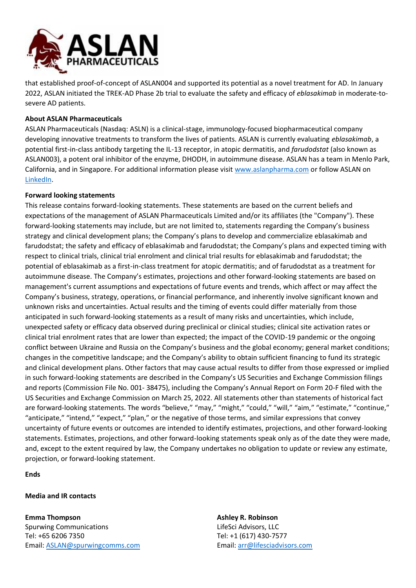

that established proof-of-concept of ASLAN004 and supported its potential as a novel treatment for AD. In January 2022, ASLAN initiated the TREK-AD Phase 2b trial to evaluate the safety and efficacy of *eblasakimab* in moderate-tosevere AD patients.

### **About ASLAN Pharmaceuticals**

ASLAN Pharmaceuticals (Nasdaq: ASLN) is a clinical-stage, immunology-focused biopharmaceutical company developing innovative treatments to transform the lives of patients. ASLAN is currently evaluating *eblasakimab*, a potential first-in-class antibody targeting the IL-13 receptor, in atopic dermatitis, and *farudodstat* (also known as ASLAN003), a potent oral inhibitor of the enzyme, DHODH, in autoimmune disease. ASLAN has a team in Menlo Park, California, and in Singapore. For additional information please visit [www.aslanpharma.com](http://www.aslanpharma.com/) or follow ASLAN on [LinkedIn.](mailto:https://www.linkedin.com/company/aslan-pharmaceuticals/?viewAsMember=true)

### **Forward looking statements**

This release contains forward-looking statements. These statements are based on the current beliefs and expectations of the management of ASLAN Pharmaceuticals Limited and/or its affiliates (the "Company"). These forward-looking statements may include, but are not limited to, statements regarding the Company's business strategy and clinical development plans; the Company's plans to develop and commercialize eblasakimab and farudodstat; the safety and efficacy of eblasakimab and farudodstat; the Company's plans and expected timing with respect to clinical trials, clinical trial enrolment and clinical trial results for eblasakimab and farudodstat; the potential of eblasakimab as a first-in-class treatment for atopic dermatitis; and of farudodstat as a treatment for autoimmune disease. The Company's estimates, projections and other forward-looking statements are based on management's current assumptions and expectations of future events and trends, which affect or may affect the Company's business, strategy, operations, or financial performance, and inherently involve significant known and unknown risks and uncertainties. Actual results and the timing of events could differ materially from those anticipated in such forward-looking statements as a result of many risks and uncertainties, which include, unexpected safety or efficacy data observed during preclinical or clinical studies; clinical site activation rates or clinical trial enrolment rates that are lower than expected; the impact of the COVID-19 pandemic or the ongoing conflict between Ukraine and Russia on the Company's business and the global economy; general market conditions; changes in the competitive landscape; and the Company's ability to obtain sufficient financing to fund its strategic and clinical development plans. Other factors that may cause actual results to differ from those expressed or implied in such forward-looking statements are described in the Company's US Securities and Exchange Commission filings and reports (Commission File No. 001- 38475), including the Company's Annual Report on Form 20-F filed with the US Securities and Exchange Commission on March 25, 2022. All statements other than statements of historical fact are forward-looking statements. The words "believe," "may," "might," "could," "will," "aim," "estimate," "continue," "anticipate," "intend," "expect," "plan," or the negative of those terms, and similar expressions that convey uncertainty of future events or outcomes are intended to identify estimates, projections, and other forward-looking statements. Estimates, projections, and other forward-looking statements speak only as of the date they were made, and, except to the extent required by law, the Company undertakes no obligation to update or review any estimate, projection, or forward-looking statement.

#### **Ends**

#### **Media and IR contacts**

**Emma Thompson** Spurwing Communications Tel: +65 6206 7350 Email: [ASLAN@spurwingcomms.com](mailto:ASLAN@spurwingcomms.com) **Ashley R. Robinson**

LifeSci Advisors, LLC Tel: +1 (617) 430-7577 Email[: arr@lifesciadvisors.com](mailto:arr@lifesciadvisors.com)